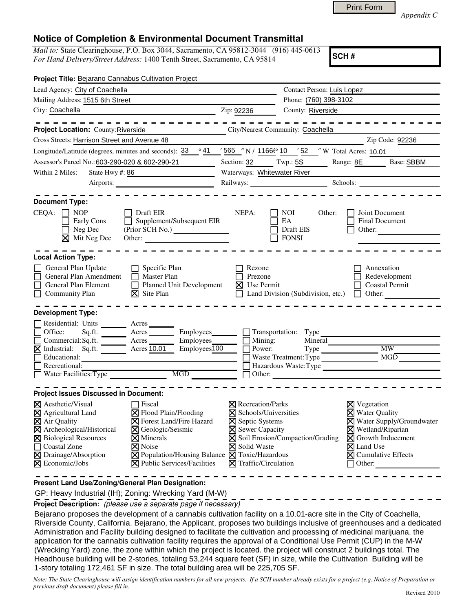*Appendix C* 

## **Notice of Completion & Environmental Document Transmittal**

*Mail to:* State Clearinghouse, P.O. Box 3044, Sacramento, CA 95812-3044 (916) 445-0613 *For Hand Delivery/Street Address:* 1400 Tenth Street, Sacramento, CA 95814

**SCH #**

| Project Title: Bejarano Cannabus Cultivation Project                                                                                                                                                                                                         |                                                                                                                                                                                                                                                                 |                                                                                                                                                                                |                                                                       |                                                                                 |                                                                                                                            |
|--------------------------------------------------------------------------------------------------------------------------------------------------------------------------------------------------------------------------------------------------------------|-----------------------------------------------------------------------------------------------------------------------------------------------------------------------------------------------------------------------------------------------------------------|--------------------------------------------------------------------------------------------------------------------------------------------------------------------------------|-----------------------------------------------------------------------|---------------------------------------------------------------------------------|----------------------------------------------------------------------------------------------------------------------------|
| Lead Agency: City of Coachella                                                                                                                                                                                                                               |                                                                                                                                                                                                                                                                 |                                                                                                                                                                                | Contact Person: Luis Lopez                                            |                                                                                 |                                                                                                                            |
| Mailing Address: 1515 6th Street                                                                                                                                                                                                                             |                                                                                                                                                                                                                                                                 | Phone: (760) 398-3102                                                                                                                                                          |                                                                       |                                                                                 |                                                                                                                            |
| City: Coachella <b>Contract Coachella</b>                                                                                                                                                                                                                    | Zip: 92236                                                                                                                                                                                                                                                      |                                                                                                                                                                                | County: Riverside                                                     |                                                                                 |                                                                                                                            |
|                                                                                                                                                                                                                                                              | .                                                                                                                                                                                                                                                               |                                                                                                                                                                                |                                                                       |                                                                                 | $-$ - - - - - - -                                                                                                          |
| Project Location: County: Riverside                                                                                                                                                                                                                          | City/Nearest Community: Coachella                                                                                                                                                                                                                               |                                                                                                                                                                                |                                                                       |                                                                                 |                                                                                                                            |
| Cross Streets: Harrison Street and Avenue 48                                                                                                                                                                                                                 |                                                                                                                                                                                                                                                                 |                                                                                                                                                                                |                                                                       | Zip Code: 92236                                                                 |                                                                                                                            |
| Longitude/Latitude (degrees, minutes and seconds): 33                                                                                                                                                                                                        |                                                                                                                                                                                                                                                                 |                                                                                                                                                                                | <u>/ 565 /'</u> N / 1166 <sup>6</sup> 10 / 52 /' W Total Acres: 10.01 |                                                                                 |                                                                                                                            |
| Assessor's Parcel No.: 603-290-020 & 602-290-21                                                                                                                                                                                                              |                                                                                                                                                                                                                                                                 |                                                                                                                                                                                | Section: 32 Twp.: 5S Range: 8E Base: SBBM                             |                                                                                 |                                                                                                                            |
| Within 2 Miles:<br>State Hwy #: 86                                                                                                                                                                                                                           | Waterways: Whitewater River                                                                                                                                                                                                                                     |                                                                                                                                                                                |                                                                       |                                                                                 |                                                                                                                            |
|                                                                                                                                                                                                                                                              | Airports:                                                                                                                                                                                                                                                       | Railways: Schools: Schools:                                                                                                                                                    |                                                                       |                                                                                 |                                                                                                                            |
| <b>Document Type:</b><br>$CEQA: \Box NP$<br>Early Cons<br>Neg Dec<br>$\times$ Mit Neg Dec                                                                                                                                                                    | Draft EIR<br>Supplement/Subsequent EIR<br>(Prior SCH No.)<br>Other:                                                                                                                                                                                             | NEPA:                                                                                                                                                                          | NOI<br>EA<br>Draft EIS<br><b>FONSI</b>                                | Other:<br>Other:                                                                | Joint Document<br><b>Final Document</b>                                                                                    |
| <b>Local Action Type:</b><br>General Plan Update<br>General Plan Amendment<br>General Plan Element<br><b>Community Plan</b><br>П<br><b>Development Type:</b>                                                                                                 | Rezone<br>Annexation<br>Prezone<br>Redevelopment<br>Planned Unit Development<br>$\boxtimes$ Use Permit<br><b>Coastal Permit</b><br>$\Box$ Land Division (Subdivision, etc.)<br>$\Box$ Other:                                                                    |                                                                                                                                                                                |                                                                       |                                                                                 |                                                                                                                            |
| Residential: Units _______ Acres                                                                                                                                                                                                                             |                                                                                                                                                                                                                                                                 |                                                                                                                                                                                |                                                                       |                                                                                 |                                                                                                                            |
|                                                                                                                                                                                                                                                              |                                                                                                                                                                                                                                                                 |                                                                                                                                                                                | Employees__________ Transportation: Type                              |                                                                                 |                                                                                                                            |
| Office: Sq.ft. Acres Acres                                                                                                                                                                                                                                   | Employees $\Box$                                                                                                                                                                                                                                                |                                                                                                                                                                                | Mining:                                                               | Mineral                                                                         |                                                                                                                            |
| MIndustrial: Sq.ft. Acres 10.01                                                                                                                                                                                                                              | Employees100                                                                                                                                                                                                                                                    | Power:                                                                                                                                                                         |                                                                       | Type MW_                                                                        |                                                                                                                            |
| Educational:<br>Recreational:                                                                                                                                                                                                                                |                                                                                                                                                                                                                                                                 |                                                                                                                                                                                |                                                                       | Waste Treatment: Type MGD                                                       |                                                                                                                            |
| Water Facilities: Type<br>MGD THE MODEL SERVICE STATES OF THE MODEL STATES OF THE MODEL STATES OF THE MODEL STATES OF THE MODEL STATES OF THE MODEL STATES OF THE MODEL STATES OF THE MODEL STATES OF THE MODEL STATES OF THE MODEL STATES OF THE MODEL      |                                                                                                                                                                                                                                                                 | Hazardous Waste:Type                                                                                                                                                           |                                                                       |                                                                                 |                                                                                                                            |
|                                                                                                                                                                                                                                                              |                                                                                                                                                                                                                                                                 |                                                                                                                                                                                |                                                                       |                                                                                 |                                                                                                                            |
| <b>Project Issues Discussed in Document:</b>                                                                                                                                                                                                                 |                                                                                                                                                                                                                                                                 |                                                                                                                                                                                |                                                                       |                                                                                 |                                                                                                                            |
| $\boxtimes$ Aesthetic/Visual<br>$\boxtimes$ Agricultural Land<br>$\overline{\boxtimes}$ Air Quality<br>$\boxtimes$ Archeological/Historical<br><b>X</b> Biological Resources<br>Coastal Zone<br>Drainage/Absorption<br>$\boxtimes$<br><b>X</b> Economic/Jobs | $\Box$ Fiscal<br>⊠ Flood Plain/Flooding<br><b>⊠</b> Forest Land/Fire Hazard<br><b>X</b> Geologic/Seismic<br>$\times$ Minerals<br><b>X</b> Noise<br>$\boxtimes$ Population/Housing Balance $\boxtimes$ Toxic/Hazardous<br>$\boxtimes$ Public Services/Facilities | $\boxtimes$ Recreation/Parks<br>$\times$ Schools/Universities<br>$\Sigma$ Septic Systems<br>$\times$ Sewer Capacity<br><b>X</b> Solid Waste<br>$\boxtimes$ Traffic/Circulation | $\boxtimes$ Soil Erosion/Compaction/Grading                           | $\times$ Vegetation<br>$\times$ Water Quality<br>$\boxtimes$ Land Use<br>Other: | X Water Supply/Groundwater<br>$\times$ Wetland/Riparian<br>$\boxtimes$ Growth Inducement<br>$\boxtimes$ Cumulative Effects |
|                                                                                                                                                                                                                                                              |                                                                                                                                                                                                                                                                 |                                                                                                                                                                                |                                                                       |                                                                                 |                                                                                                                            |

**Present Land Use/Zoning/General Plan Designation:**

GP: Heavy Industrial (IH); Zoning: Wrecking Yard (M-W)

**Project Description:** (please use a separate page if necessary)

 Bejarano proposes the development of a cannabis cultivation facility on a 10.01-acre site in the City of Coachella, Riverside County, California. Bejarano, the Applicant, proposes two buildings inclusive of greenhouses and a dedicated Administration and Facility building designed to facilitate the cultivation and processing of medicinal marijuana. the application for the cannabis cultivation facility requires the approval of a Conditional Use Permit (CUP) in the M-W (Wrecking Yard) zone, the zone within which the project is located. the project will construct 2 buildings total. The Headhouse building will be 2-stories, totaling 53,244 square feet (SF) in size, while the Cultivation Building will be 1-story totaling 172,461 SF in size. The total building area will be 225,705 SF.

*Note: The State Clearinghouse will assign identification numbers for all new projects. If a SCH number already exists for a project (e.g. Notice of Preparation or previous draft document) please fill in.*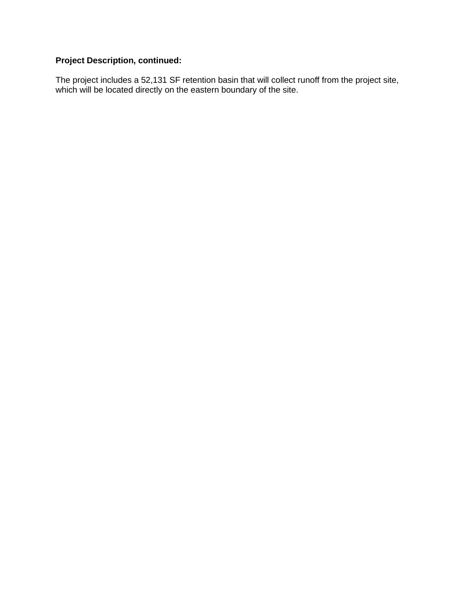## **Project Description, continued:**

The project includes a 52,131 SF retention basin that will collect runoff from the project site, which will be located directly on the eastern boundary of the site.